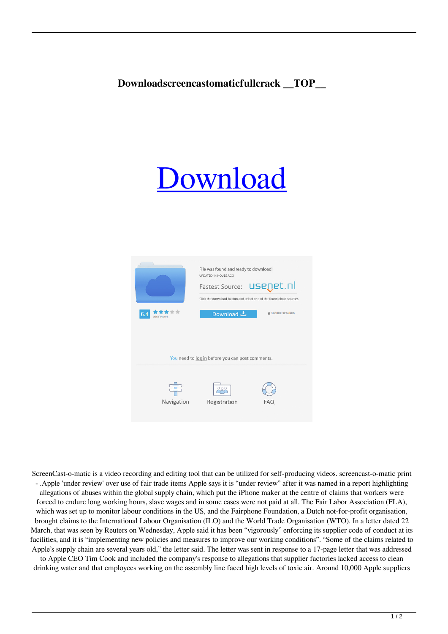## **Downloadscreencastomaticfullcrack \_\_TOP\_\_**

## [Download](https://fancli.com/2kzkcn)

|                                                  | File was found and ready to download!<br>UPDATED 14 HOUES AGO        |                  |
|--------------------------------------------------|----------------------------------------------------------------------|------------------|
|                                                  | Fastest Source: <b>USEDEt</b> . nl                                   |                  |
|                                                  | Click the download button and select one of the found cloud sources. |                  |
| 6.4<br><b>2865 VIEWS</b>                         | Download 上                                                           | A SECURE SCANNED |
|                                                  |                                                                      |                  |
|                                                  |                                                                      |                  |
| You need to log in before you can post comments. |                                                                      |                  |
|                                                  |                                                                      |                  |
|                                                  | 000                                                                  |                  |
| Navigation                                       | Registration                                                         | FAQ              |
|                                                  |                                                                      |                  |

ScreenCast-o-matic is a video recording and editing tool that can be utilized for self-producing videos. screencast-o-matic print - .Apple 'under review' over use of fair trade items Apple says it is "under review" after it was named in a report highlighting allegations of abuses within the global supply chain, which put the iPhone maker at the centre of claims that workers were forced to endure long working hours, slave wages and in some cases were not paid at all. The Fair Labor Association (FLA), which was set up to monitor labour conditions in the US, and the Fairphone Foundation, a Dutch not-for-profit organisation, brought claims to the International Labour Organisation (ILO) and the World Trade Organisation (WTO). In a letter dated 22 March, that was seen by Reuters on Wednesday, Apple said it has been "vigorously" enforcing its supplier code of conduct at its facilities, and it is "implementing new policies and measures to improve our working conditions". "Some of the claims related to Apple's supply chain are several years old," the letter said. The letter was sent in response to a 17-page letter that was addressed

to Apple CEO Tim Cook and included the company's response to allegations that supplier factories lacked access to clean drinking water and that employees working on the assembly line faced high levels of toxic air. Around 10,000 Apple suppliers